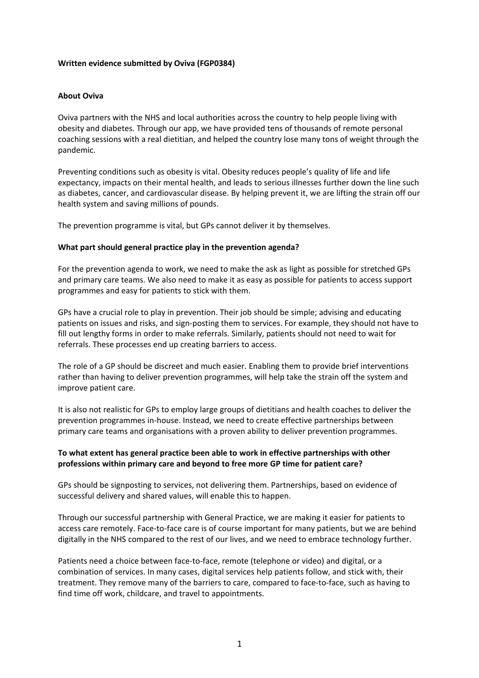## **Written evidence submitted by Oviva (FGP0384)**

## **About Oviva**

Oviva partners with the NHS and local authorities across the country to help people living with obesity and diabetes. Through our app, we have provided tens of thousands of remote personal coaching sessions with a real dietitian, and helped the country lose many tons of weight through the pandemic.

Preventing conditions such as obesity is vital. Obesity reduces people's quality of life and life expectancy, impacts on their mental health, and leads to serious illnesses further down the line such as diabetes, cancer, and cardiovascular disease. By helping prevent it, we are lifting the strain off our health system and saving millions of pounds.

The prevention programme is vital, but GPs cannot deliver it by themselves.

## **What part should general practice play in the prevention agenda?**

For the prevention agenda to work, we need to make the ask as light as possible for stretched GPs and primary care teams. We also need to make it as easy as possible for patients to access support programmes and easy for patients to stick with them.

GPs have a crucial role to play in prevention. Their job should be simple; advising and educating patients on issues and risks, and sign-posting them to services. For example, they should not have to fill out lengthy forms in order to make referrals. Similarly, patients should not need to wait for referrals. These processes end up creating barriers to access.

The role of a GP should be discreet and much easier. Enabling them to provide brief interventions rather than having to deliver prevention programmes, will help take the strain off the system and improve patient care.

It is also not realistic for GPs to employ large groups of dietitians and health coaches to deliver the prevention programmes in-house. Instead, we need to create effective partnerships between primary care teams and organisations with a proven ability to deliver prevention programmes.

## **To what extent has general practice been able to work in effective partnerships with other professions within primary care and beyond to free more GP time for patient care?**

GPs should be signposting to services, not delivering them. Partnerships, based on evidence of successful delivery and shared values, will enable this to happen.

Through our successful partnership with General Practice, we are making it easier for patients to access care remotely. Face-to-face care is of course important for many patients, but we are behind digitally in the NHS compared to the rest of our lives, and we need to embrace technology further.

Patients need a choice between face-to-face, remote (telephone or video) and digital, or a combination of services. In many cases, digital services help patients follow, and stick with, their treatment. They remove many of the barriers to care, compared to face-to-face, such as having to find time off work, childcare, and travel to appointments.